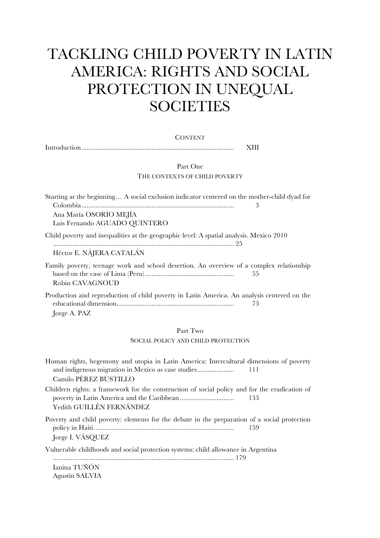## TACKLING CHILD POVERTY IN LATIN AMERICA: RIGHTS AND SOCIAL PROTECTION IN UNEQUAL **SOCIETIES**

| <b>CONTENT</b>                                                                                                                                                                |  |  |
|-------------------------------------------------------------------------------------------------------------------------------------------------------------------------------|--|--|
| XIII                                                                                                                                                                          |  |  |
| Part One                                                                                                                                                                      |  |  |
| THE CONTEXTS OF CHILD POVERTY                                                                                                                                                 |  |  |
| Starting at the beginning A social exclusion indicator centered on the mother-child dyad for<br>3                                                                             |  |  |
| Ana María OSORIO MEJÍA<br>Luis Fernando AGUADO QUINTERO                                                                                                                       |  |  |
| Child poverty and inequalities at the geographic level: A spatial analysis. Mexico 2010<br>Héctor E. NÁJERA CATALÁN                                                           |  |  |
| Family poverty, teenage work and school desertion. An overview of a complex relationship<br>55<br>Robin CAVAGNOUD                                                             |  |  |
| Production and reproduction of child poverty in Latin America. An analysis centered on the<br>73<br>Jorge A. PAZ                                                              |  |  |
| Part Two                                                                                                                                                                      |  |  |
| SOCIAL POLICY AND CHILD PROTECTION                                                                                                                                            |  |  |
| Human rights, hegemony and utopia in Latin America: Intercultural dimensions of poverty<br>and indigenous migration in Mexico as case studies<br>111<br>Camilo PÉREZ BUSTILLO |  |  |

Children rights: a framework for the construction of social policy and for the eradication of poverty in Latin America and the Caribbean............................... 133 Yedith GUILLÉN FERNÁNDEZ

Poverty and child poverty: elements for the debate in the preparation of a social protection policy in Haiti................................................................................ 159 Jorge I. VÁSQUEZ

Vulnerable childhoods and social protection systems: child allowance in Argentina

....................................................................................................... 179 Ianina TUÑÓN Agustín SALVIA